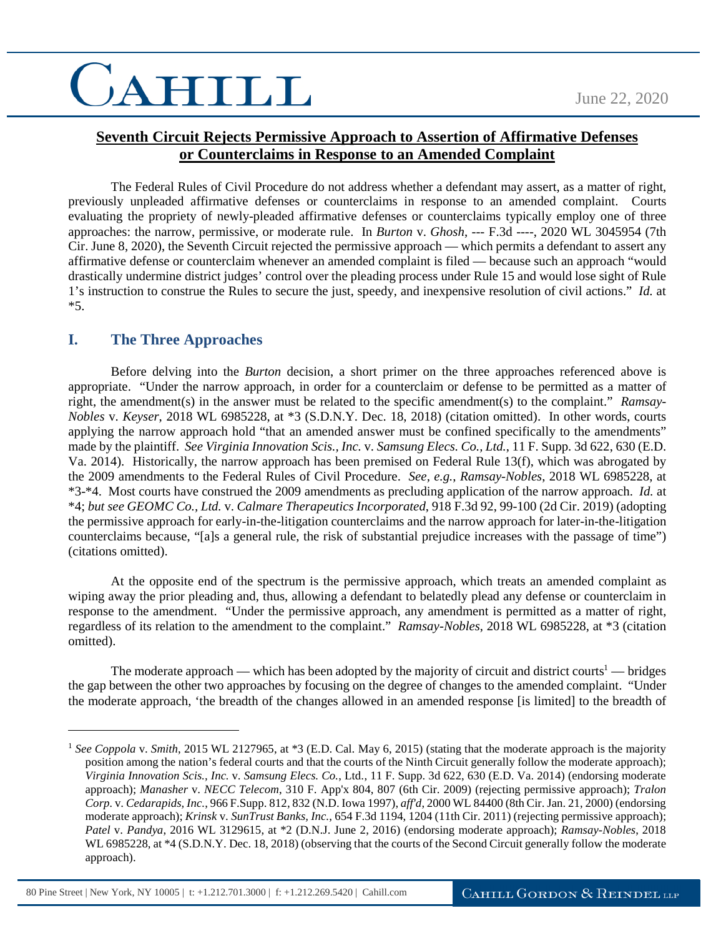# CAHILL

### **Seventh Circuit Rejects Permissive Approach to Assertion of Affirmative Defenses or Counterclaims in Response to an Amended Complaint**

The Federal Rules of Civil Procedure do not address whether a defendant may assert, as a matter of right, previously unpleaded affirmative defenses or counterclaims in response to an amended complaint. Courts evaluating the propriety of newly-pleaded affirmative defenses or counterclaims typically employ one of three approaches: the narrow, permissive, or moderate rule. In *Burton* v. *Ghosh*, --- F.3d ----, 2020 WL 3045954 (7th Cir. June 8, 2020), the Seventh Circuit rejected the permissive approach — which permits a defendant to assert any affirmative defense or counterclaim whenever an amended complaint is filed — because such an approach "would drastically undermine district judges' control over the pleading process under Rule 15 and would lose sight of Rule 1's instruction to construe the Rules to secure the just, speedy, and inexpensive resolution of civil actions." *Id.* at \*5.

### **I. The Three Approaches**

 $\overline{a}$ 

Before delving into the *Burton* decision, a short primer on the three approaches referenced above is appropriate. "Under the narrow approach, in order for a counterclaim or defense to be permitted as a matter of right, the amendment(s) in the answer must be related to the specific amendment(s) to the complaint." *Ramsay-Nobles* v. *Keyser*, 2018 WL 6985228, at \*3 (S.D.N.Y. Dec. 18, 2018) (citation omitted). In other words, courts applying the narrow approach hold "that an amended answer must be confined specifically to the amendments" made by the plaintiff. *See Virginia Innovation Scis., Inc.* v. *Samsung Elecs. Co., Ltd.*, 11 F. Supp. 3d 622, 630 (E.D. Va. 2014). Historically, the narrow approach has been premised on Federal Rule 13(f), which was abrogated by the 2009 amendments to the Federal Rules of Civil Procedure. *See, e.g.*, *Ramsay-Nobles*, 2018 WL 6985228, at \*3-\*4. Most courts have construed the 2009 amendments as precluding application of the narrow approach. *Id.* at \*4; *but see GEOMC Co., Ltd.* v. *Calmare Therapeutics Incorporated*, 918 F.3d 92, 99-100 (2d Cir. 2019) (adopting the permissive approach for early-in-the-litigation counterclaims and the narrow approach for later-in-the-litigation counterclaims because, "[a]s a general rule, the risk of substantial prejudice increases with the passage of time") (citations omitted).

At the opposite end of the spectrum is the permissive approach, which treats an amended complaint as wiping away the prior pleading and, thus, allowing a defendant to belatedly plead any defense or counterclaim in response to the amendment. "Under the permissive approach, any amendment is permitted as a matter of right, regardless of its relation to the amendment to the complaint." *Ramsay-Nobles*, 2018 WL 6985228, at \*3 (citation omitted).

The moderate approach — which has been adopted by the majority of circuit and district courts<sup>1</sup> — bridges the gap between the other two approaches by focusing on the degree of changes to the amended complaint. "Under the moderate approach, 'the breadth of the changes allowed in an amended response [is limited] to the breadth of

80 Pine Street | New York, NY 10005 | t: +1.212.701.3000 | f: +1.212.269.5420 | Cahill.com

<sup>1</sup> *See Coppola* v. *Smith*, 2015 WL 2127965, at \*3 (E.D. Cal. May 6, 2015) (stating that the moderate approach is the majority position among the nation's federal courts and that the courts of the Ninth Circuit generally follow the moderate approach); *Virginia Innovation Scis., Inc.* v. *Samsung Elecs. Co.*, Ltd., 11 F. Supp. 3d 622, 630 (E.D. Va. 2014) (endorsing moderate approach); *Manasher* v. *NECC Telecom*, 310 F. App'x 804, 807 (6th Cir. 2009) (rejecting permissive approach); *Tralon Corp.* v. *Cedarapids, Inc.*, 966 F.Supp. 812, 832 (N.D. Iowa 1997), *aff'd*, 2000 WL 84400 (8th Cir. Jan. 21, 2000) (endorsing moderate approach); *Krinsk* v. *SunTrust Banks, Inc.*, 654 F.3d 1194, 1204 (11th Cir. 2011) (rejecting permissive approach); *Patel* v. *Pandya*, 2016 WL 3129615, at \*2 (D.N.J. June 2, 2016) (endorsing moderate approach); *Ramsay-Nobles*, 2018 WL 6985228, at \*4 (S.D.N.Y. Dec. 18, 2018) (observing that the courts of the Second Circuit generally follow the moderate approach).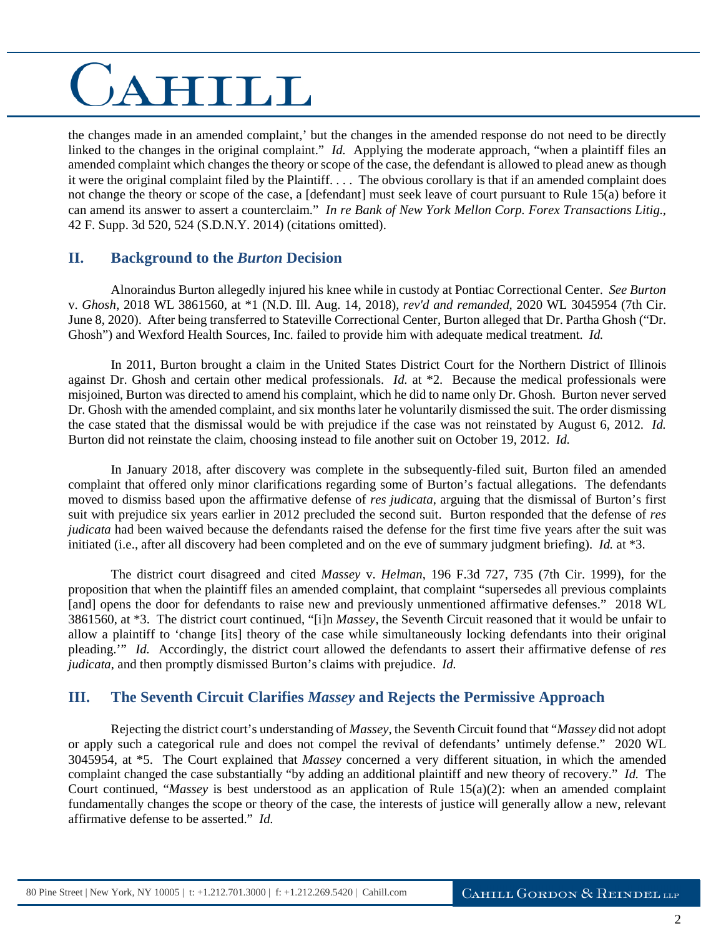# CAHILL

the changes made in an amended complaint,' but the changes in the amended response do not need to be directly linked to the changes in the original complaint." *Id.* Applying the moderate approach, "when a plaintiff files an amended complaint which changes the theory or scope of the case, the defendant is allowed to plead anew as though it were the original complaint filed by the Plaintiff. . . . The obvious corollary is that if an amended complaint does not change the theory or scope of the case, a [defendant] must seek leave of court pursuant to Rule 15(a) before it can amend its answer to assert a counterclaim." *In re Bank of New York Mellon Corp. Forex Transactions Litig.*, 42 F. Supp. 3d 520, 524 (S.D.N.Y. 2014) (citations omitted).

#### **II. Background to the** *Burton* **Decision**

Alnoraindus Burton allegedly injured his knee while in custody at Pontiac Correctional Center. *See Burton* v. *Ghosh*, 2018 WL 3861560, at \*1 (N.D. Ill. Aug. 14, 2018), *rev'd and remanded*, 2020 WL 3045954 (7th Cir. June 8, 2020). After being transferred to Stateville Correctional Center, Burton alleged that Dr. Partha Ghosh ("Dr. Ghosh") and Wexford Health Sources, Inc. failed to provide him with adequate medical treatment. *Id.* 

In 2011, Burton brought a claim in the United States District Court for the Northern District of Illinois against Dr. Ghosh and certain other medical professionals. *Id.* at \*2. Because the medical professionals were misjoined, Burton was directed to amend his complaint, which he did to name only Dr. Ghosh. Burton never served Dr. Ghosh with the amended complaint, and six months later he voluntarily dismissed the suit. The order dismissing the case stated that the dismissal would be with prejudice if the case was not reinstated by August 6, 2012. *Id.*  Burton did not reinstate the claim, choosing instead to file another suit on October 19, 2012. *Id.* 

In January 2018, after discovery was complete in the subsequently-filed suit, Burton filed an amended complaint that offered only minor clarifications regarding some of Burton's factual allegations. The defendants moved to dismiss based upon the affirmative defense of *res judicata*, arguing that the dismissal of Burton's first suit with prejudice six years earlier in 2012 precluded the second suit. Burton responded that the defense of *res judicata* had been waived because the defendants raised the defense for the first time five years after the suit was initiated (i.e., after all discovery had been completed and on the eve of summary judgment briefing). *Id.* at \*3.

The district court disagreed and cited *Massey* v. *Helman*, 196 F.3d 727, 735 (7th Cir. 1999), for the proposition that when the plaintiff files an amended complaint, that complaint "supersedes all previous complaints [and] opens the door for defendants to raise new and previously unmentioned affirmative defenses." 2018 WL 3861560, at \*3. The district court continued, "[i]n *Massey*, the Seventh Circuit reasoned that it would be unfair to allow a plaintiff to 'change [its] theory of the case while simultaneously locking defendants into their original pleading.'" *Id.* Accordingly, the district court allowed the defendants to assert their affirmative defense of *res judicata*, and then promptly dismissed Burton's claims with prejudice. *Id.* 

#### **III. The Seventh Circuit Clarifies** *Massey* **and Rejects the Permissive Approach**

Rejecting the district court's understanding of *Massey*, the Seventh Circuit found that "*Massey* did not adopt or apply such a categorical rule and does not compel the revival of defendants' untimely defense." 2020 WL 3045954, at \*5. The Court explained that *Massey* concerned a very different situation, in which the amended complaint changed the case substantially "by adding an additional plaintiff and new theory of recovery." *Id.* The Court continued, "*Massey* is best understood as an application of Rule 15(a)(2): when an amended complaint fundamentally changes the scope or theory of the case, the interests of justice will generally allow a new, relevant affirmative defense to be asserted." *Id.*